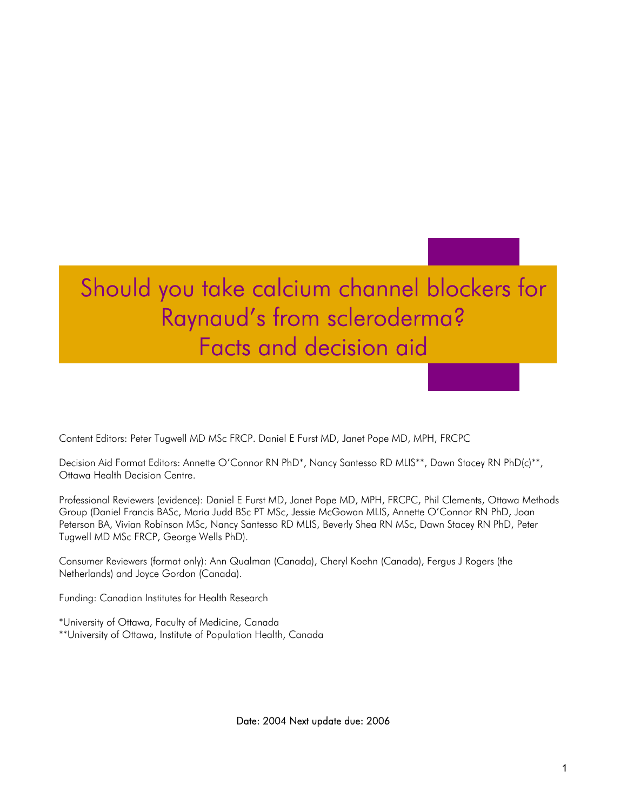# Should you take calcium channel blockers for Raynaud's from scleroderma? Facts and decision aid

Content Editors: Peter Tugwell MD MSc FRCP. Daniel E Furst MD, Janet Pope MD, MPH, FRCPC

Decision Aid Format Editors: Annette O'Connor RN PhD\*, Nancy Santesso RD MLIS\*\*, Dawn Stacey RN PhD(c)\*\*, Ottawa Health Decision Centre.

Professional Reviewers (evidence): Daniel E Furst MD, Janet Pope MD, MPH, FRCPC, Phil Clements, Ottawa Methods Group (Daniel Francis BASc, Maria Judd BSc PT MSc, Jessie McGowan MLIS, Annette O'Connor RN PhD, Joan Peterson BA, Vivian Robinson MSc, Nancy Santesso RD MLIS, Beverly Shea RN MSc, Dawn Stacey RN PhD, Peter Tugwell MD MSc FRCP, George Wells PhD).

Consumer Reviewers (format only): Ann Qualman (Canada), Cheryl Koehn (Canada), Fergus J Rogers (the Netherlands) and Joyce Gordon (Canada).

Funding: Canadian Institutes for Health Research

\*University of Ottawa, Faculty of Medicine, Canada \*\*University of Ottawa, Institute of Population Health, Canada

Date: 2004 Next update due: 2006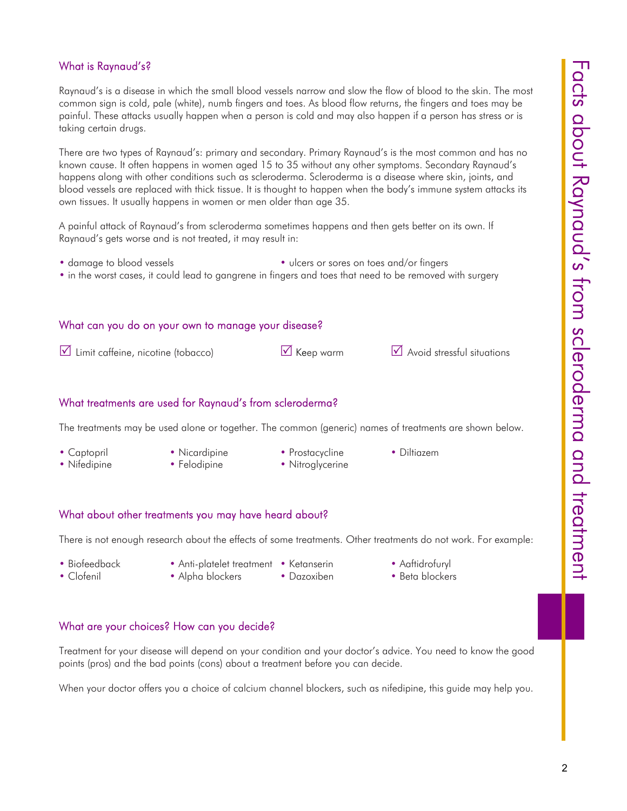## What is Raynaud's?

Raynaud's is a disease in which the small blood vessels narrow and slow the flow of blood to the skin. The most common sign is cold, pale (white), numb fingers and toes. As blood flow returns, the fingers and toes may be painful. These attacks usually happen when a person is cold and may also happen if a person has stress or is taking certain drugs.

There are two types of Raynaud's: primary and secondary. Primary Raynaud's is the most common and has no known cause. It often happens in women aged 15 to 35 without any other symptoms. Secondary Raynaud's happens along with other conditions such as scleroderma. Scleroderma is a disease where skin, joints, and blood vessels are replaced with thick tissue. It is thought to happen when the body's immune system attacks its own tissues. It usually happens in women or men older than age 35.

A painful attack of Raynaud's from scleroderma sometimes happens and then gets better on its own. If Raynaud's gets worse and is not treated, it may result in:

- damage to blood vessels vlcers or sores on toes and/or fingers
- in the worst cases, it could lead to gangrene in fingers and toes that need to be removed with surgery

#### What can you do on your own to manage your disease?

 $\boxtimes$  Limit caffeine, nicotine (tobacco)  $\boxtimes$  Keep warm  $\boxtimes$  Avoid stressful situations

#### What treatments are used for Raynaud's from scleroderma?

The treatments may be used alone or together. The common (generic) names of treatments are shown below.

- 
- 
- Captopril Nicardipine Prostacycline Diltiazem
	-
- 
- Nifedipine Felodipine Nitroglycerine
- 
- 

#### What about other treatments you may have heard about?

There is not enough research about the effects of some treatments. Other treatments do not work. For example:

- 
- Biofeedback Anti-platelet treatment Ketanserin Aaftidrofuryl
	- -
- 
- Clofenil Alpha blockers Dazoxiben Beta blockers
- What are your choices? How can you decide?

Treatment for your disease will depend on your condition and your doctor's advice. You need to know the good points (pros) and the bad points (cons) about a treatment before you can decide.

When your doctor offers you a choice of calcium channel blockers, such as nifedipine, this guide may help you.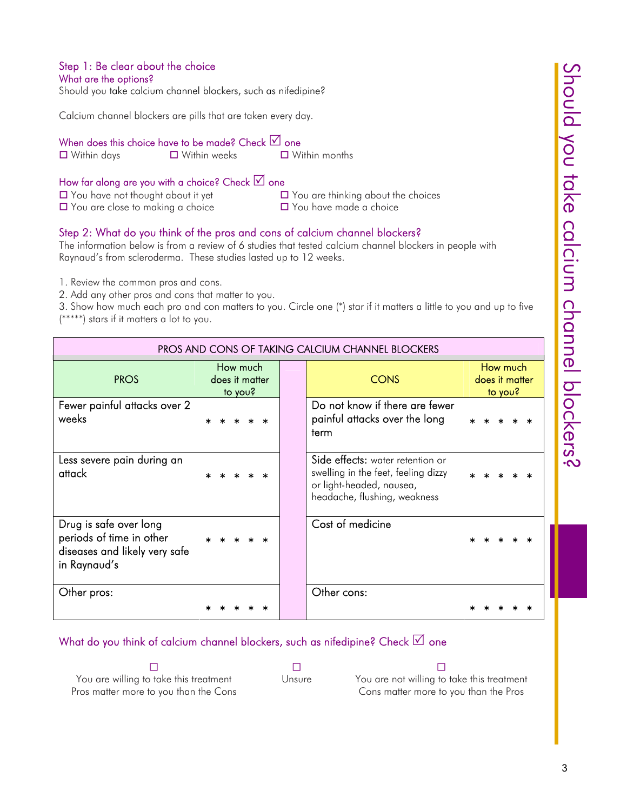#### Step 1: Be clear about the choice What are the options?

Should you take calcium channel blockers, such as nifedipine?

Calcium channel blockers are pills that are taken every day.

When does this choice have to be made? Check  $\boxtimes$  one

**□** Within days **□** Within weeks □ Within months

# How far along are you with a choice? Check  $\boxtimes$  one

 $\Box$  You have not thought about it yet  $\Box$  You are thinking about the choices  $\Box$  You are close to making a choice  $\Box$  You have made a choice

# Step 2: What do you think of the pros and cons of calcium channel blockers?

The information below is from a review of 6 studies that tested calcium channel blockers in people with Raynaud's from scleroderma. These studies lasted up to 12 weeks.

1. Review the common pros and cons.

2. Add any other pros and cons that matter to you.

3. Show how much each pro and con matters to you. Circle one (\*) star if it matters a little to you and up to five (\*\*\*\*\*) stars if it matters a lot to you.

| PROS AND CONS OF TAKING CALCIUM CHANNEL BLOCKERS                                                    |                                       |  |  |  |  |             |                                                                                                                                     |  |  |  |  |
|-----------------------------------------------------------------------------------------------------|---------------------------------------|--|--|--|--|-------------|-------------------------------------------------------------------------------------------------------------------------------------|--|--|--|--|
| <b>PROS</b>                                                                                         | How much<br>does it matter<br>to you? |  |  |  |  | <b>CONS</b> | How much<br>does it matter<br>to you?                                                                                               |  |  |  |  |
| Fewer painful attacks over 2<br>weeks                                                               |                                       |  |  |  |  |             | Do not know if there are fewer<br>painful attacks over the long<br>term                                                             |  |  |  |  |
| Less severe pain during an<br>attack                                                                |                                       |  |  |  |  |             | Side effects: water retention or<br>swelling in the feet, feeling dizzy<br>or light-headed, nausea,<br>headache, flushing, weakness |  |  |  |  |
| Drug is safe over long<br>periods of time in other<br>diseases and likely very safe<br>in Raynaud's |                                       |  |  |  |  |             | Cost of medicine                                                                                                                    |  |  |  |  |
| Other pros:                                                                                         |                                       |  |  |  |  |             | Other cons:                                                                                                                         |  |  |  |  |

# What do you think of calcium channel blockers, such as nifedipine? Check  $\boxtimes$  one

 $\blacksquare$  . The contract of  $\blacksquare$  . The contract of  $\blacksquare$ You are willing to take this treatment Pros matter more to you than the Cons

Unsure You are not willing to take this treatment Cons matter more to you than the Pros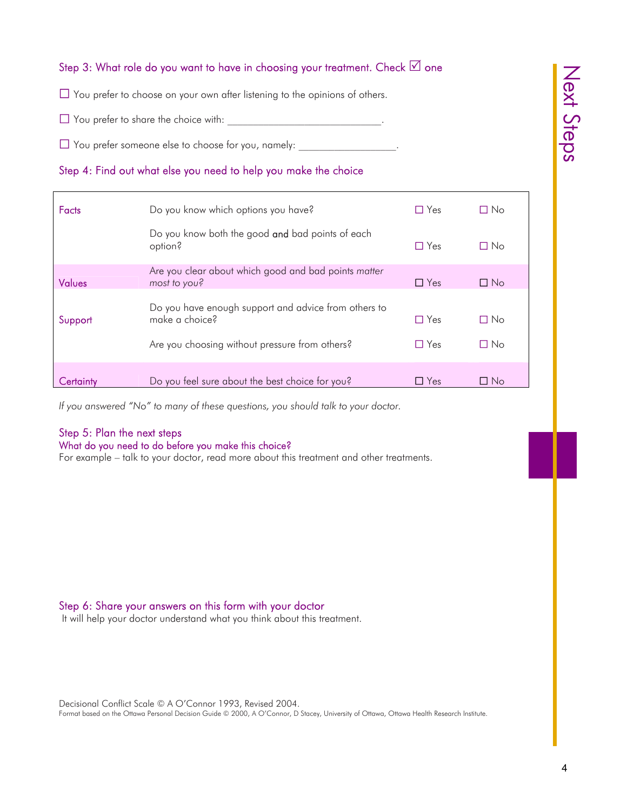# Step 3: What role do you want to have in choosing your treatment. Check  $\boxtimes$  one

 $\Box$  You prefer to choose on your own after listening to the opinions of others.

 $\Box$  You prefer to share the choice with:

 $\Box$  You prefer someone else to choose for you, namely:

# Step 4: Find out what else you need to help you make the choice

| <b>Facts</b> | Do you know which options you have?                                                                                      | $\Box$ Yes               | $\Box$ No         |
|--------------|--------------------------------------------------------------------------------------------------------------------------|--------------------------|-------------------|
|              | Do you know both the good and bad points of each<br>option?                                                              | $\Box$ Yes               | П No              |
| Values       | Are you clear about which good and bad points matter<br>most to you?                                                     | $\Box$ Yes               | $\Box$ No         |
| Support      | Do you have enough support and advice from others to<br>make a choice?<br>Are you choosing without pressure from others? | $\Box$ Yes<br>$\Box$ Yes | ∩ No<br>$\Box$ No |
| Certaintv    | Do you feel sure about the best choice for you?                                                                          | $\Box$ Yes               | □ No              |

*If you answered "No" to many of these questions, you should talk to your doctor.*

## Step 5: Plan the next steps

#### What do you need to do before you make this choice?

For example – talk to your doctor, read more about this treatment and other treatments.

## Step 6: Share your answers on this form with your doctor

It will help your doctor understand what you think about this treatment.

Format based on the Ottawa Personal Decision Guide © 2000, A O'Connor, D Stacey, University of Ottawa, Ottawa Health Research Institute.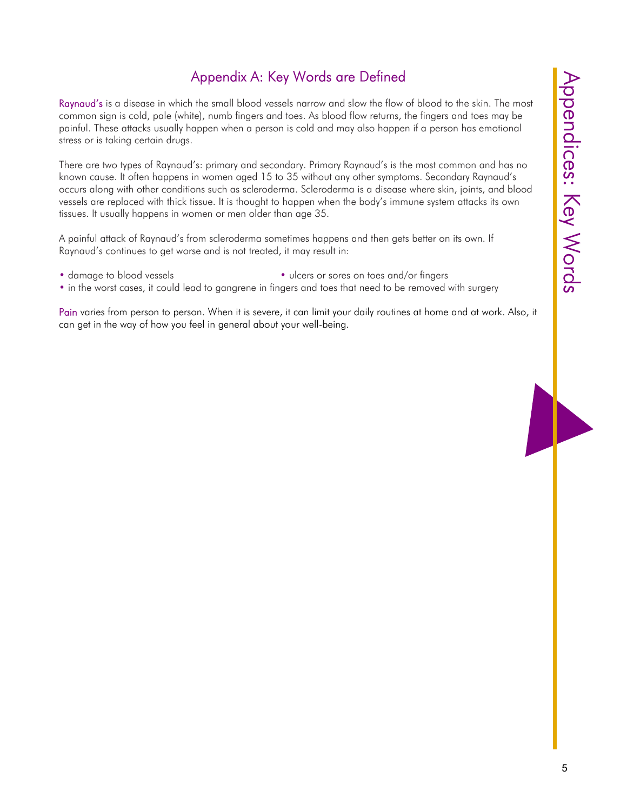# Appendix A: Key Words are Defined

Raynaud's is a disease in which the small blood vessels narrow and slow the flow of blood to the skin. The most common sign is cold, pale (white), numb fingers and toes. As blood flow returns, the fingers and toes may be painful. These attacks usually happen when a person is cold and may also happen if a person has emotional stress or is taking certain drugs.

There are two types of Raynaud's: primary and secondary. Primary Raynaud's is the most common and has no known cause. It often happens in women aged 15 to 35 without any other symptoms. Secondary Raynaud's occurs along with other conditions such as scleroderma. Scleroderma is a disease where skin, joints, and blood vessels are replaced with thick tissue. It is thought to happen when the body's immune system attacks its own tissues. It usually happens in women or men older than age 35.

A painful attack of Raynaud's from scleroderma sometimes happens and then gets better on its own. If Raynaud's continues to get worse and is not treated, it may result in:

- 
- damage to blood vessels vlcers or sores on toes and/or fingers
- in the worst cases, it could lead to gangrene in fingers and toes that need to be removed with surgery

Pain varies from person to person. When it is severe, it can limit your daily routines at home and at work. Also, it can get in the way of how you feel in general about your well-being.